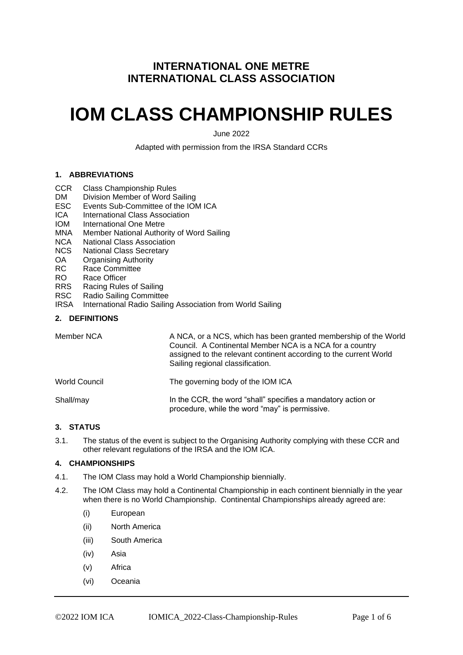# **INTERNATIONAL ONE METRE INTERNATIONAL CLASS ASSOCIATION**

# **IOM CLASS CHAMPIONSHIP RULES**

June 2022

Adapted with permission from the IRSA Standard CCRs

# **1. ABBREVIATIONS**

- CCR Class Championship Rules
- DM Division Member of Word Sailing
- ESC Events Sub-Committee of the IOM ICA
- ICA International Class Association
- IOM International One Metre
- MNA Member National Authority of Word Sailing
- NCA National Class Association
- NCS National Class Secretary
- OA Organising Authority
- RC Race Committee
- RO Race Officer<br>RRS Racing Rules
- Racing Rules of Sailing
- RSC Radio Sailing Committee<br>IRSA International Radio Sailin
- International Radio Sailing Association from World Sailing

# **2. DEFINITIONS**

| Member NCA    | A NCA, or a NCS, which has been granted membership of the World<br>Council. A Continental Member NCA is a NCA for a country<br>assigned to the relevant continent according to the current World<br>Sailing regional classification. |
|---------------|--------------------------------------------------------------------------------------------------------------------------------------------------------------------------------------------------------------------------------------|
| World Council | The governing body of the IOM ICA                                                                                                                                                                                                    |
| Shall/may     | In the CCR, the word "shall" specifies a mandatory action or<br>procedure, while the word "may" is permissive.                                                                                                                       |

# **3. STATUS**

3.1. The status of the event is subject to the Organising Authority complying with these CCR and other relevant regulations of the IRSA and the IOM ICA.

### **4. CHAMPIONSHIPS**

- 4.1. The IOM Class may hold a World Championship biennially.
- 4.2. The IOM Class may hold a Continental Championship in each continent biennially in the year when there is no World Championship. Continental Championships already agreed are:
	- (i) European
	- (ii) North America
	- (iii) South America
	- (iv) Asia
	- (v) Africa
	- (vi) Oceania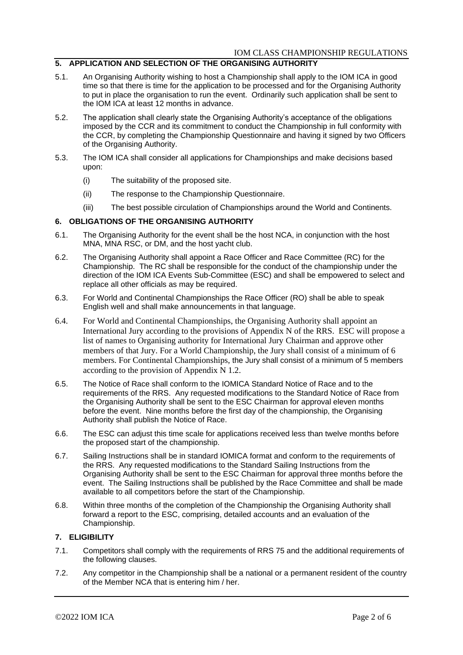### **5. APPLICATION AND SELECTION OF THE ORGANISING AUTHORITY**

- 5.1. An Organising Authority wishing to host a Championship shall apply to the IOM ICA in good time so that there is time for the application to be processed and for the Organising Authority to put in place the organisation to run the event. Ordinarily such application shall be sent to the IOM ICA at least 12 months in advance.
- 5.2. The application shall clearly state the Organising Authority's acceptance of the obligations imposed by the CCR and its commitment to conduct the Championship in full conformity with the CCR, by completing the Championship Questionnaire and having it signed by two Officers of the Organising Authority.
- 5.3. The IOM ICA shall consider all applications for Championships and make decisions based upon:
	- (i) The suitability of the proposed site.
	- (ii) The response to the Championship Questionnaire.
	- (iii) The best possible circulation of Championships around the World and Continents.

#### **6. OBLIGATIONS OF THE ORGANISING AUTHORITY**

- 6.1. The Organising Authority for the event shall be the host NCA, in conjunction with the host MNA, MNA RSC, or DM, and the host yacht club.
- 6.2. The Organising Authority shall appoint a Race Officer and Race Committee (RC) for the Championship. The RC shall be responsible for the conduct of the championship under the direction of the IOM ICA Events Sub-Committee (ESC) and shall be empowered to select and replace all other officials as may be required.
- 6.3. For World and Continental Championships the Race Officer (RO) shall be able to speak English well and shall make announcements in that language.
- 6.4. For World and Continental Championships, the Organising Authority shall appoint an International Jury according to the provisions of Appendix N of the RRS. ESC will propose a list of names to Organising authority for International Jury Chairman and approve other members of that Jury. For a World Championship, the Jury shall consist of a minimum of 6 members. For Continental Championships, the Jury shall consist of a minimum of 5 members according to the provision of Appendix N 1.2.
- 6.5. The Notice of Race shall conform to the IOMICA Standard Notice of Race and to the requirements of the RRS. Any requested modifications to the Standard Notice of Race from the Organising Authority shall be sent to the ESC Chairman for approval eleven months before the event. Nine months before the first day of the championship, the Organising Authority shall publish the Notice of Race.
- 6.6. The ESC can adjust this time scale for applications received less than twelve months before the proposed start of the championship.
- 6.7. Sailing Instructions shall be in standard IOMICA format and conform to the requirements of the RRS. Any requested modifications to the Standard Sailing Instructions from the Organising Authority shall be sent to the ESC Chairman for approval three months before the event. The Sailing Instructions shall be published by the Race Committee and shall be made available to all competitors before the start of the Championship.
- 6.8. Within three months of the completion of the Championship the Organising Authority shall forward a report to the ESC, comprising, detailed accounts and an evaluation of the Championship.

### **7. ELIGIBILITY**

- 7.1. Competitors shall comply with the requirements of RRS 75 and the additional requirements of the following clauses.
- 7.2. Any competitor in the Championship shall be a national or a permanent resident of the country of the Member NCA that is entering him / her.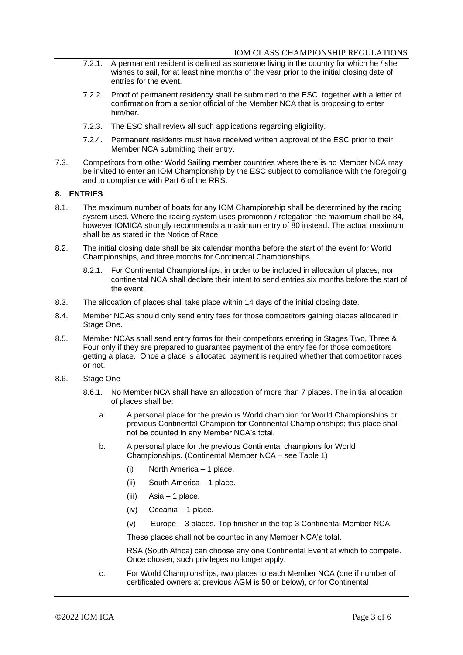- 7.2.1. A permanent resident is defined as someone living in the country for which he / she wishes to sail, for at least nine months of the year prior to the initial closing date of entries for the event.
- 7.2.2. Proof of permanent residency shall be submitted to the ESC, together with a letter of confirmation from a senior official of the Member NCA that is proposing to enter him/her.
- 7.2.3. The ESC shall review all such applications regarding eligibility.
- 7.2.4. Permanent residents must have received written approval of the ESC prior to their Member NCA submitting their entry.
- 7.3. Competitors from other World Sailing member countries where there is no Member NCA may be invited to enter an IOM Championship by the ESC subject to compliance with the foregoing and to compliance with Part 6 of the RRS.

#### **8. ENTRIES**

- 8.1. The maximum number of boats for any IOM Championship shall be determined by the racing system used. Where the racing system uses promotion / relegation the maximum shall be 84, however IOMICA strongly recommends a maximum entry of 80 instead. The actual maximum shall be as stated in the Notice of Race.
- 8.2. The initial closing date shall be six calendar months before the start of the event for World Championships, and three months for Continental Championships.
	- 8.2.1. For Continental Championships, in order to be included in allocation of places, non continental NCA shall declare their intent to send entries six months before the start of the event.
- 8.3. The allocation of places shall take place within 14 days of the initial closing date.
- 8.4. Member NCAs should only send entry fees for those competitors gaining places allocated in Stage One.
- 8.5. Member NCAs shall send entry forms for their competitors entering in Stages Two, Three & Four only if they are prepared to guarantee payment of the entry fee for those competitors getting a place. Once a place is allocated payment is required whether that competitor races or not.
- 8.6. Stage One
	- 8.6.1. No Member NCA shall have an allocation of more than 7 places. The initial allocation of places shall be:
		- a. A personal place for the previous World champion for World Championships or previous Continental Champion for Continental Championships; this place shall not be counted in any Member NCA's total.
		- b. A personal place for the previous Continental champions for World Championships. (Continental Member NCA – see Table 1)
			- (i) North America 1 place.
			- (ii) South America 1 place.
			- (iii) Asia 1 place.
			- (iv) Oceania 1 place.
			- (v) Europe 3 places. Top finisher in the top 3 Continental Member NCA

These places shall not be counted in any Member NCA's total.

RSA (South Africa) can choose any one Continental Event at which to compete. Once chosen, such privileges no longer apply.

c. For World Championships, two places to each Member NCA (one if number of certificated owners at previous AGM is 50 or below), or for Continental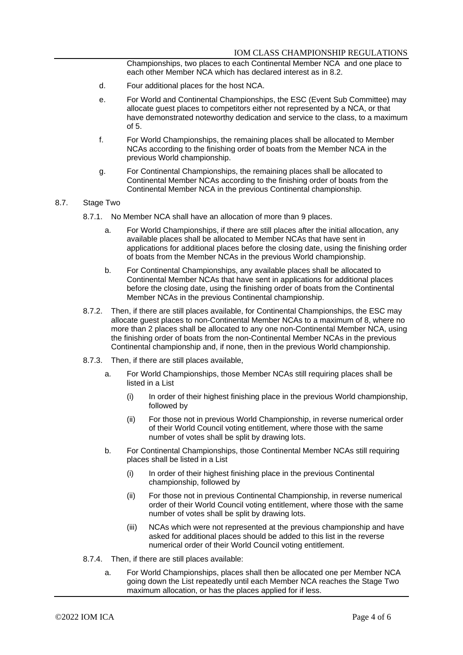Championships, two places to each Continental Member NCA and one place to each other Member NCA which has declared interest as in 8.2.

- d. Four additional places for the host NCA.
- e. For World and Continental Championships, the ESC (Event Sub Committee) may allocate guest places to competitors either not represented by a NCA, or that have demonstrated noteworthy dedication and service to the class, to a maximum of 5.
- f. For World Championships, the remaining places shall be allocated to Member NCAs according to the finishing order of boats from the Member NCA in the previous World championship.
- g. For Continental Championships, the remaining places shall be allocated to Continental Member NCAs according to the finishing order of boats from the Continental Member NCA in the previous Continental championship.

#### 8.7. Stage Two

- 8.7.1. No Member NCA shall have an allocation of more than 9 places.
	- a. For World Championships, if there are still places after the initial allocation, any available places shall be allocated to Member NCAs that have sent in applications for additional places before the closing date, using the finishing order of boats from the Member NCAs in the previous World championship.
	- b. For Continental Championships, any available places shall be allocated to Continental Member NCAs that have sent in applications for additional places before the closing date, using the finishing order of boats from the Continental Member NCAs in the previous Continental championship.
- 8.7.2. Then, if there are still places available, for Continental Championships, the ESC may allocate guest places to non-Continental Member NCAs to a maximum of 8, where no more than 2 places shall be allocated to any one non-Continental Member NCA, using the finishing order of boats from the non-Continental Member NCAs in the previous Continental championship and, if none, then in the previous World championship.
- 8.7.3. Then, if there are still places available,
	- a. For World Championships, those Member NCAs still requiring places shall be listed in a List
		- (i) In order of their highest finishing place in the previous World championship, followed by
		- (ii) For those not in previous World Championship, in reverse numerical order of their World Council voting entitlement, where those with the same number of votes shall be split by drawing lots.
	- b. For Continental Championships, those Continental Member NCAs still requiring places shall be listed in a List
		- (i) In order of their highest finishing place in the previous Continental championship, followed by
		- (ii) For those not in previous Continental Championship, in reverse numerical order of their World Council voting entitlement, where those with the same number of votes shall be split by drawing lots.
		- (iii) NCAs which were not represented at the previous championship and have asked for additional places should be added to this list in the reverse numerical order of their World Council voting entitlement.
- 8.7.4. Then, if there are still places available:
	- a. For World Championships, places shall then be allocated one per Member NCA going down the List repeatedly until each Member NCA reaches the Stage Two maximum allocation, or has the places applied for if less.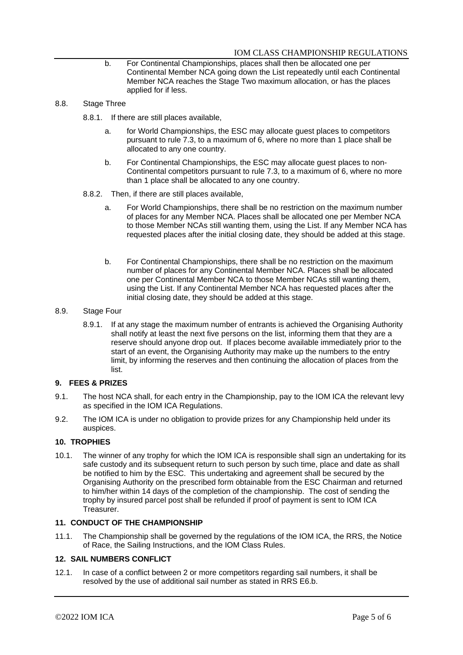- b. For Continental Championships, places shall then be allocated one per Continental Member NCA going down the List repeatedly until each Continental Member NCA reaches the Stage Two maximum allocation, or has the places applied for if less.
- 8.8. Stage Three
	- 8.8.1. If there are still places available,
		- a. for World Championships, the ESC may allocate guest places to competitors pursuant to rule 7.3, to a maximum of 6, where no more than 1 place shall be allocated to any one country.
		- b. For Continental Championships, the ESC may allocate guest places to non-Continental competitors pursuant to rule 7.3, to a maximum of 6, where no more than 1 place shall be allocated to any one country.
	- 8.8.2. Then, if there are still places available,
		- a. For World Championships, there shall be no restriction on the maximum number of places for any Member NCA. Places shall be allocated one per Member NCA to those Member NCAs still wanting them, using the List. If any Member NCA has requested places after the initial closing date, they should be added at this stage.
		- b. For Continental Championships, there shall be no restriction on the maximum number of places for any Continental Member NCA. Places shall be allocated one per Continental Member NCA to those Member NCAs still wanting them, using the List. If any Continental Member NCA has requested places after the initial closing date, they should be added at this stage.

#### 8.9. Stage Four

8.9.1. If at any stage the maximum number of entrants is achieved the Organising Authority shall notify at least the next five persons on the list, informing them that they are a reserve should anyone drop out. If places become available immediately prior to the start of an event, the Organising Authority may make up the numbers to the entry limit, by informing the reserves and then continuing the allocation of places from the list.

## **9. FEES & PRIZES**

- 9.1. The host NCA shall, for each entry in the Championship, pay to the IOM ICA the relevant levy as specified in the IOM ICA Regulations.
- 9.2. The IOM ICA is under no obligation to provide prizes for any Championship held under its auspices.

# **10. TROPHIES**

10.1. The winner of any trophy for which the IOM ICA is responsible shall sign an undertaking for its safe custody and its subsequent return to such person by such time, place and date as shall be notified to him by the ESC. This undertaking and agreement shall be secured by the Organising Authority on the prescribed form obtainable from the ESC Chairman and returned to him/her within 14 days of the completion of the championship. The cost of sending the trophy by insured parcel post shall be refunded if proof of payment is sent to IOM ICA Treasurer.

#### **11. CONDUCT OF THE CHAMPIONSHIP**

11.1. The Championship shall be governed by the regulations of the IOM ICA, the RRS, the Notice of Race, the Sailing Instructions, and the IOM Class Rules.

#### **12. SAIL NUMBERS CONFLICT**

12.1. In case of a conflict between 2 or more competitors regarding sail numbers, it shall be resolved by the use of additional sail number as stated in RRS E6.b.